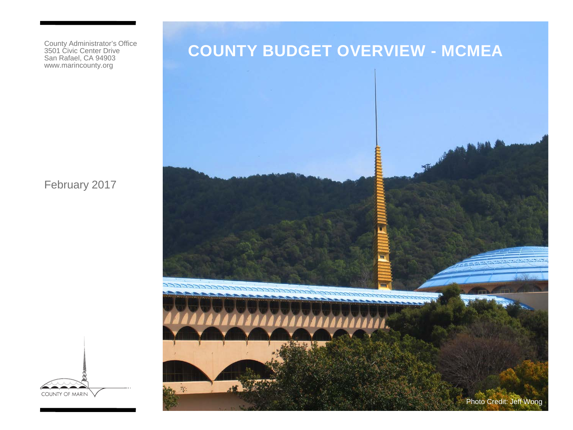County Administrator's Office 3501 Civic Center Drive San Rafael, CA 94903 www.marincounty.org

February 2017

# **COUNTY BUDGET OVERVIEW - MCMEA**



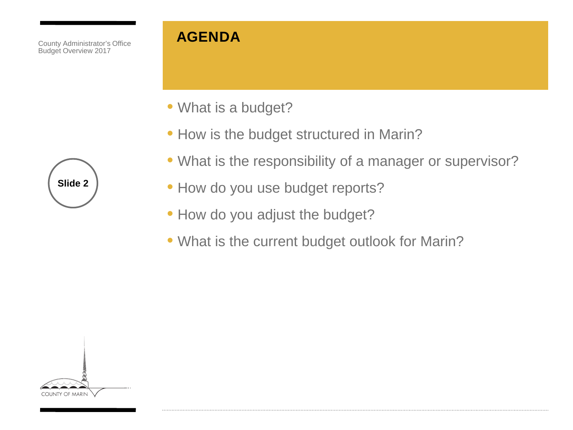#### **AGENDA**

- What is a budget?
- How is the budget structured in Marin?
- What is the responsibility of a manager or supervisor?
- How do you use budget reports?
- How do you adjust the budget?
- What is the current budget outlook for Marin?



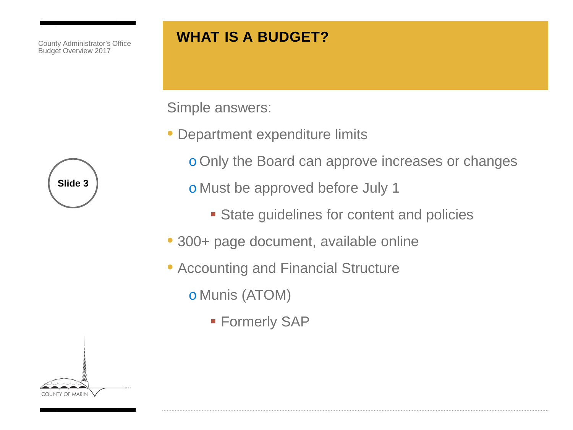# **WHAT IS A BUDGET?**

Simple answers:

- Department expenditure limits
	- o Only the Board can approve increases or changes

o Must be approved before July 1

- **State guidelines for content and policies**
- 300+ page document, available online
- Accounting and Financial Structure

o Munis (ATOM)

**Formerly SAP** 

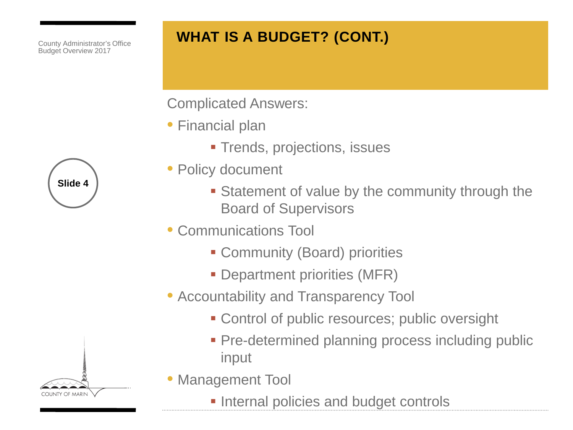# **WHAT IS A BUDGET? (CONT.)**

Complicated Answers:

- Financial plan
	- **Trends, projections, issues**
- Policy document
	- **Statement of value by the community through the** Board of Supervisors
- Communications Tool
	- Community (Board) priorities
	- **Department priorities (MFR)**
- Accountability and Transparency Tool
	- Control of public resources; public oversight
	- **Pre-determined planning process including public** input
- Management Tool
	- **Internal policies and budget controls**



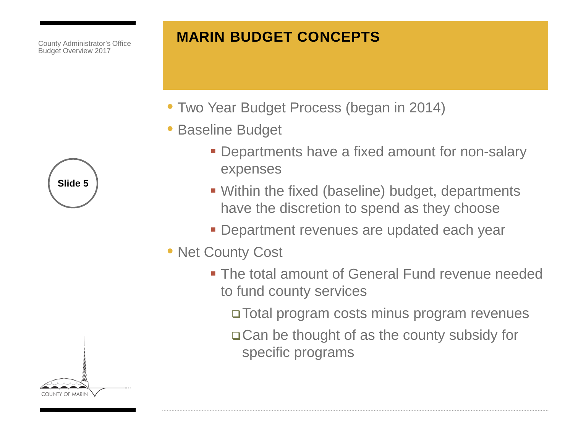#### **MARIN BUDGET CONCEPTS**

- Two Year Budget Process (began in 2014)
- Baseline Budget
	- **Departments have a fixed amount for non-salary** expenses
	- Within the fixed (baseline) budget, departments have the discretion to spend as they choose
	- **Department revenues are updated each year**
- Net County Cost
	- **The total amount of General Fund revenue needed** to fund county services

Total program costs minus program revenues

Can be thought of as the county subsidy for specific programs

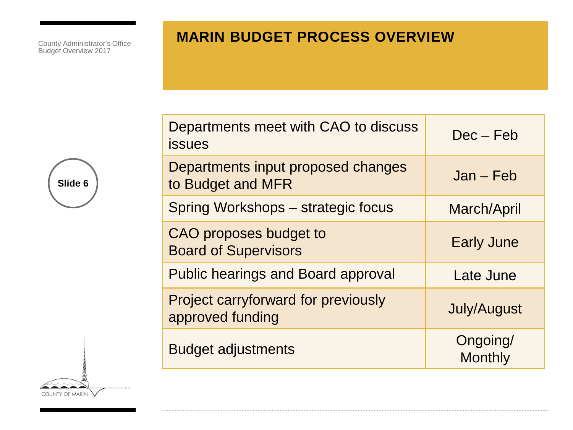#### **MARIN BUDGET PROCESS OVERVIEW**

**Slide 6**

COUNTY OF MARIN

| Departments meet with CAO to discuss<br><b>issues</b>          | $Dec - Feb$                |
|----------------------------------------------------------------|----------------------------|
| Departments input proposed changes<br>to Budget and MFR        | $Jan - Feb$                |
| Spring Workshops – strategic focus                             | March/April                |
| CAO proposes budget to<br><b>Board of Supervisors</b>          | <b>Early June</b>          |
| <b>Public hearings and Board approval</b>                      | Late June                  |
| <b>Project carryforward for previously</b><br>approved funding | <b>July/August</b>         |
| <b>Budget adjustments</b>                                      | Ongoing/<br><b>Monthly</b> |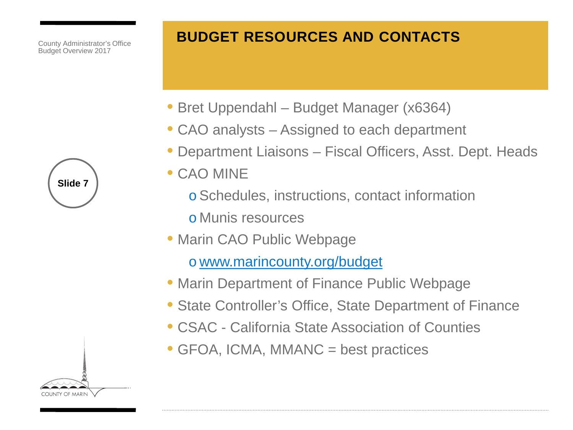## **BUDGET RESOURCES AND CONTACTS**

- Bret Uppendahl Budget Manager (x6364)
- CAO analysts Assigned to each department
- Department Liaisons Fiscal Officers, Asst. Dept. Heads
- CAO MINE
	- oSchedules, instructions, contact information
	- o Munis resources
- Marin CAO Public Webpage

o [www.marincounty.org/budget](http://www.marincounty.org/budget)

- Marin Department of Finance Public Webpage
- State Controller's Office, State Department of Finance
- CSAC California State Association of Counties
- GFOA, ICMA, MMANC = best practices

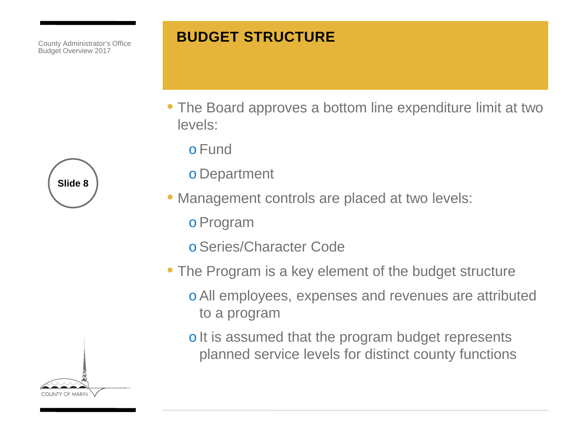#### **BUDGET STRUCTURE**

- The Board approves a bottom line expenditure limit at two levels:
	- o Fund
	- o Department
- Management controls are placed at two levels:
	- oProgram
	- oSeries/Character Code
- The Program is a key element of the budget structure
	- oAll employees, expenses and revenues are attributed to a program
	- o It is assumed that the program budget represents planned service levels for distinct county functions



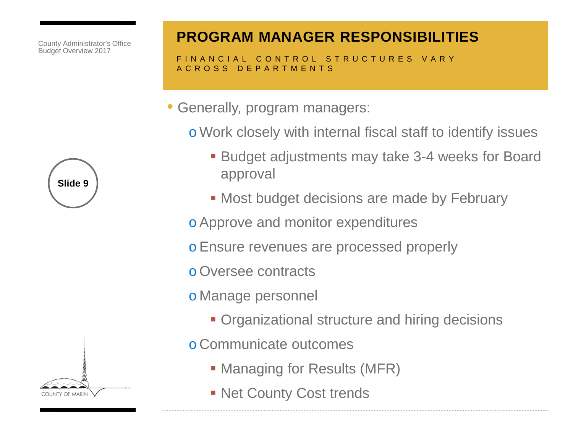

### **PROGRAM MANAGER RESPONSIBILITIES**

FINANCIAL CONTROL STRUCTURES VARY ACROSS DEPARTMENTS

• Generally, program managers:

o Work closely with internal fiscal staff to identify issues

- Budget adjustments may take 3-4 weeks for Board approval
- Most budget decisions are made by February

oApprove and monitor expenditures

oEnsure revenues are processed properly

o Oversee contracts

o Manage personnel

- Organizational structure and hiring decisions
- o Communicate outcomes
	- Managing for Results (MFR)
	- **Net County Cost trends**

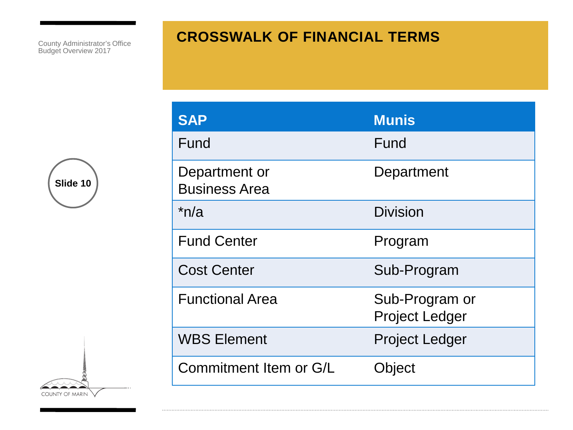#### **CROSSWALK OF FINANCIAL TERMS**



COUNTY OF MARIN

| <b>SAP</b>                            | <b>Munis</b>                            |
|---------------------------------------|-----------------------------------------|
| Fund                                  | Fund                                    |
| Department or<br><b>Business Area</b> | Department                              |
| $*n/a$                                | <b>Division</b>                         |
| <b>Fund Center</b>                    | Program                                 |
| <b>Cost Center</b>                    | Sub-Program                             |
| <b>Functional Area</b>                | Sub-Program or<br><b>Project Ledger</b> |
| <b>WBS Element</b>                    | <b>Project Ledger</b>                   |
| Commitment Item or G/L                | Object                                  |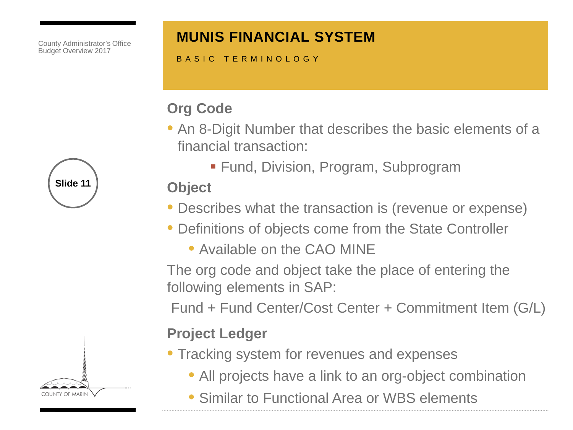#### **MUNIS FINANCIAL SYSTEM**

BASIC TERMINOLOGY

# **Org Code**

- An 8-Digit Number that describes the basic elements of a financial transaction:
	- Fund, Division, Program, Subprogram

### **Object**

- Describes what the transaction is (revenue or expense)
- Definitions of objects come from the State Controller
	- Available on the CAO MINE

The org code and object take the place of entering the following elements in SAP:

Fund + Fund Center/Cost Center + Commitment Item (G/L)

#### **Project Ledger**

- Tracking system for revenues and expenses
	- All projects have a link to an org-object combination
	- Similar to Functional Area or WBS elements



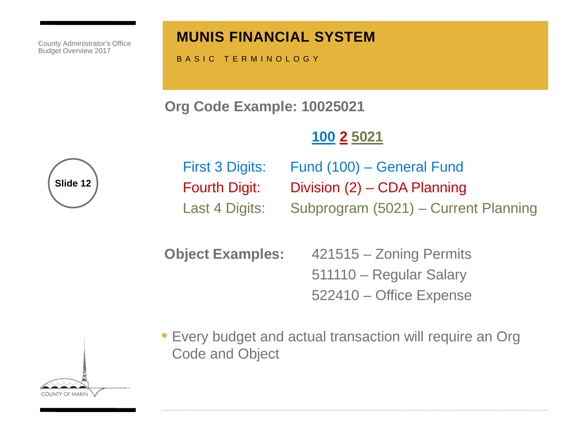#### **MUNIS FINANCIAL SYSTEM**

BASIC TERMINOLOGY

**Org Code Example: 10025021**

# **100 2 5021**



First 3 Digits: Fund (100) – General Fund Fourth Digit: Division (2) – CDA Planning Last 4 Digits: Subprogram (5021) – Current Planning

**Object Examples:** 421515 – Zoning Permits 511110 – Regular Salary 522410 – Office Expense

• Every budget and actual transaction will require an Org Code and Object

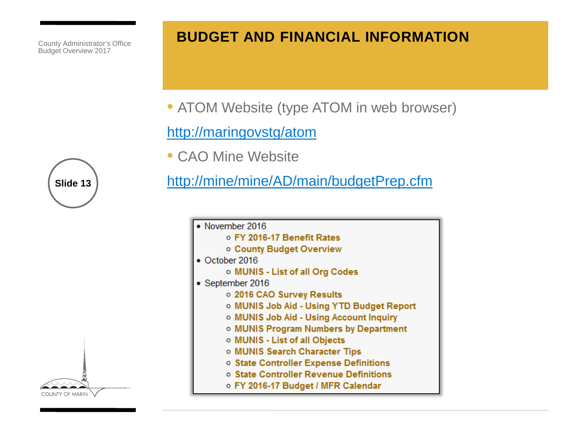#### **BUDGET AND FINANCIAL INFORMATION**

• ATOM Website (type ATOM in web browser)

#### <http://maringovstg/atom>

• CAO Mine Website

<http://mine/mine/AD/main/budgetPrep.cfm>

• November 2016 o FY 2016-17 Benefit Rates o County Budget Overview  $\bullet$  October 2016 o MUNIS - List of all Org Codes • September 2016 o 2016 CAO Survey Results o MUNIS Job Aid - Using YTD Budget Report o MUNIS Job Aid - Using Account Inquiry o MUNIS Program Numbers by Department o MUNIS - List of all Objects o MUNIS Search Character Tips o State Controller Expense Definitions o State Controller Revenue Definitions o FY 2016-17 Budget / MFR Calendar

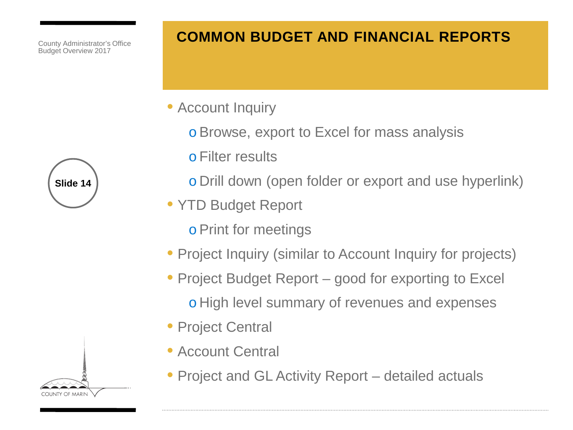### **COMMON BUDGET AND FINANCIAL REPORTS**

- Account Inquiry
	- oBrowse, export to Excel for mass analysis
	- o Filter results
	- o Drill down (open folder or export and use hyperlink)
- YTD Budget Report
	- oPrint for meetings
- Project Inquiry (similar to Account Inquiry for projects)
- Project Budget Report good for exporting to Excel o High level summary of revenues and expenses
- Project Central
- Account Central
- Project and GL Activity Report detailed actuals



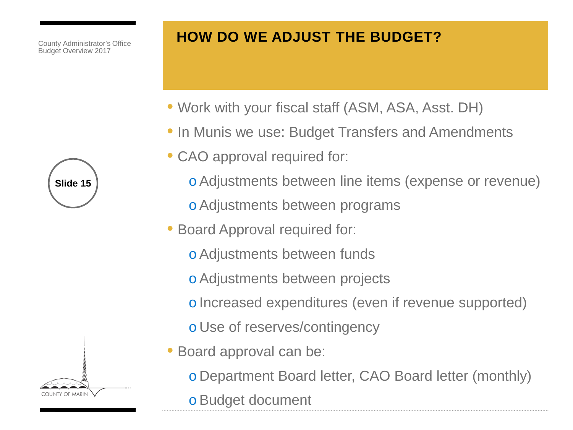## **HOW DO WE ADJUST THE BUDGET?**

- Work with your fiscal staff (ASM, ASA, Asst. DH)
- In Munis we use: Budget Transfers and Amendments
- CAO approval required for:
	- oAdjustments between line items (expense or revenue)
	- oAdjustments between programs
- Board Approval required for:
	- oAdjustments between funds
	- oAdjustments between projects
	- o Increased expenditures (even if revenue supported)
	- o Use of reserves/contingency
- Board approval can be:
	- o Department Board letter, CAO Board letter (monthly)
	- oBudget document

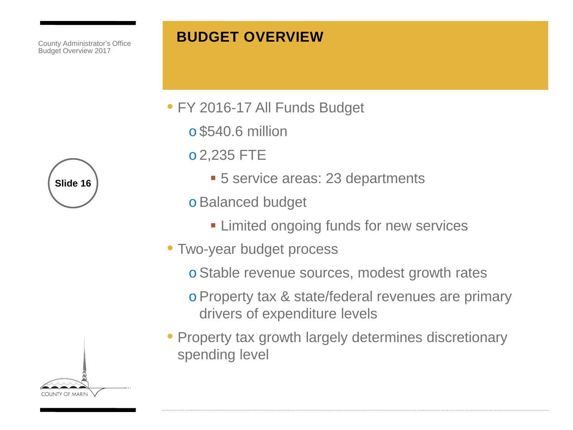#### **BUDGET OVERVIEW**

- FY 2016-17 All Funds Budget
	- o \$540.6 million
	- o 2,235 FTE
		- **5 service areas: 23 departments**
	- oBalanced budget
		- **Example 3 Limited ongoing funds for new services**
- Two-year budget process
	- oStable revenue sources, modest growth rates
	- oProperty tax & state/federal revenues are primary drivers of expenditure levels
- Property tax growth largely determines discretionary spending level



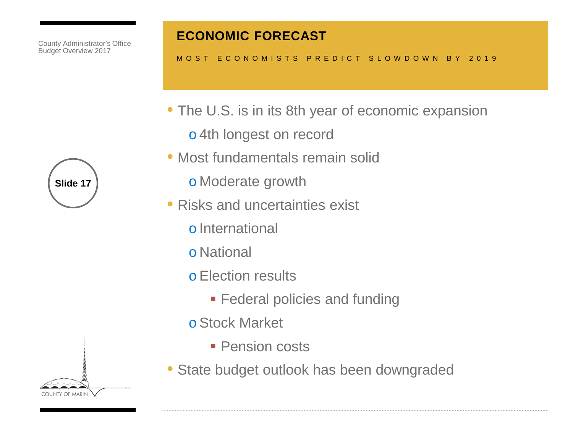

#### **ECONOMIC FORECAST**

#### MOST ECONOMISTS PREDICT SLOWDOWN BY 2019

- The U.S. is in its 8th year of economic expansion
	- o 4th longest on record
- Most fundamentals remain solid
	- o Moderate growth
- Risks and uncertainties exist
	- o International
	- o National
	- oElection results
		- **Federal policies and funding**
	- oStock Market
		- **Pension costs**
- State budget outlook has been downgraded

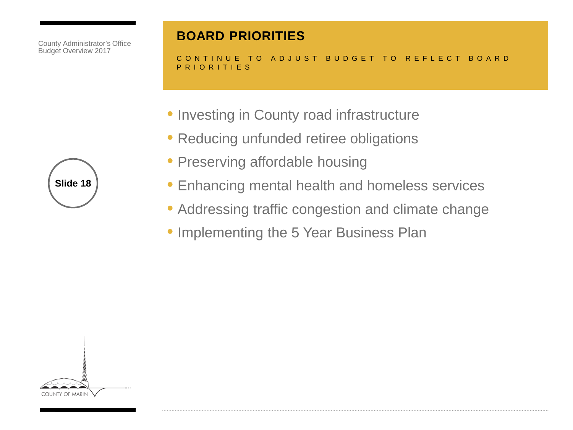#### **BOARD PRIORITIES**

CONTINUE TO ADJUST BUDGET TO REFLECT BOARD PRIORITIES

- Investing in County road infrastructure
- Reducing unfunded retiree obligations
- Preserving affordable housing
- Enhancing mental health and homeless services
- Addressing traffic congestion and climate change
- Implementing the 5 Year Business Plan



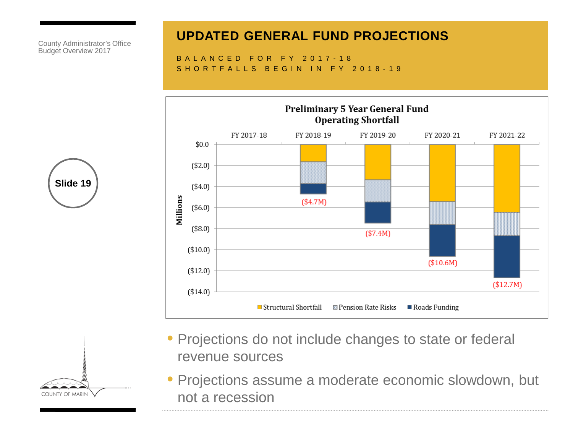#### **UPDATED GENERAL FUND PROJECTIONS**

BALANCED FOR FY 2017-18 SHORTFALLS BEGIN IN FY 2018-19



**Slide 19**

- Projections do not include changes to state or federal revenue sources
- Projections assume a moderate economic slowdown, but not a recession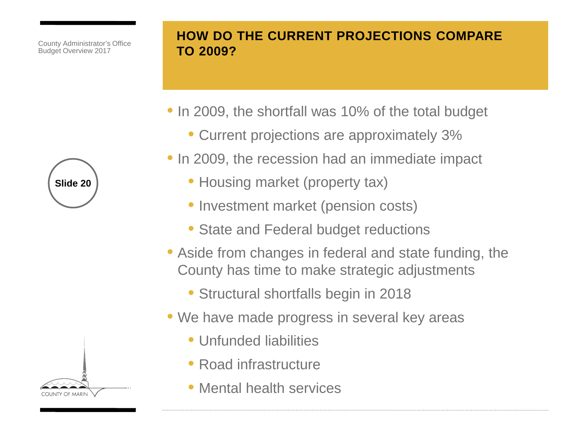

#### **HOW DO THE CURRENT PROJECTIONS COMPARE TO 2009?**

- In 2009, the shortfall was 10% of the total budget
	- Current projections are approximately 3%
- In 2009, the recession had an immediate impact
	- Housing market (property tax)
	- Investment market (pension costs)
	- State and Federal budget reductions
- Aside from changes in federal and state funding, the County has time to make strategic adjustments
	- Structural shortfalls begin in 2018
- We have made progress in several key areas
	- Unfunded liabilities
	- Road infrastructure
	- Mental health services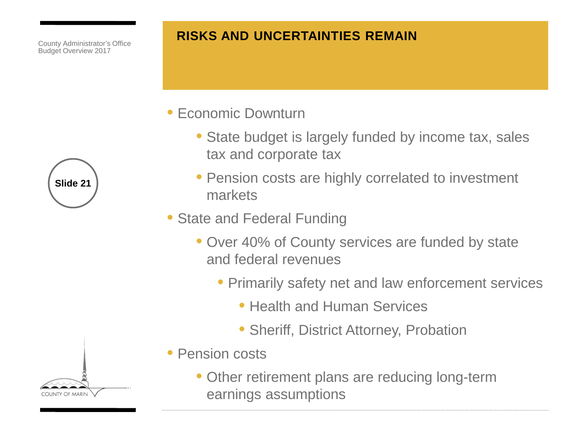

• Economic Downturn

- State budget is largely funded by income tax, sales tax and corporate tax
- Pension costs are highly correlated to investment markets
- State and Federal Funding
	- Over 40% of County services are funded by state and federal revenues
		- Primarily safety net and law enforcement services
			- Health and Human Services
			- Sheriff, District Attorney, Probation
- Pension costs
	- Other retirement plans are reducing long-term earnings assumptions



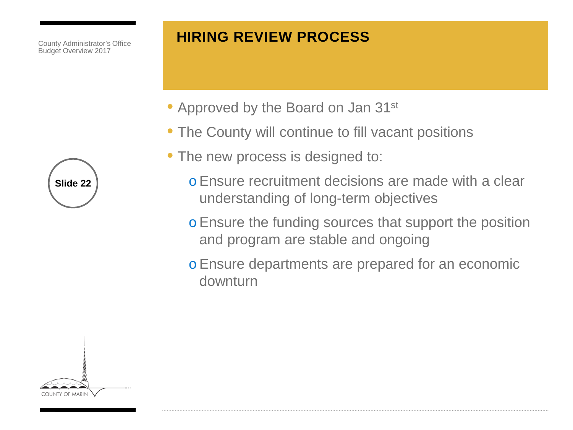#### **HIRING REVIEW PROCESS**

- Approved by the Board on Jan 31<sup>st</sup>
- The County will continue to fill vacant positions
- The new process is designed to:
	- oEnsure recruitment decisions are made with a clear understanding of long-term objectives
	- oEnsure the funding sources that support the position and program are stable and ongoing
	- oEnsure departments are prepared for an economic downturn

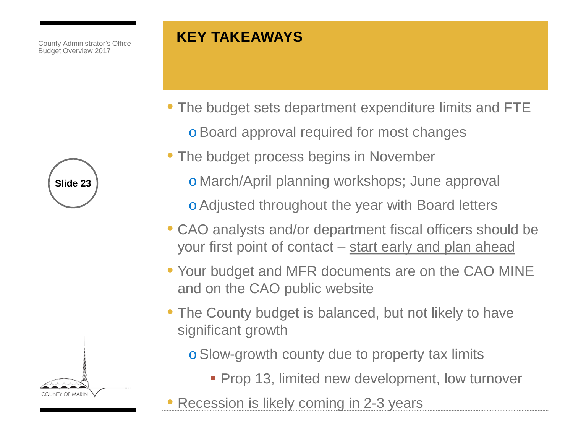# **KEY TAKEAWAYS**

- The budget sets department expenditure limits and FTE oBoard approval required for most changes
- The budget process begins in November
	- o March/April planning workshops; June approval
	- oAdjusted throughout the year with Board letters
- CAO analysts and/or department fiscal officers should be your first point of contact – start early and plan ahead
- Your budget and MFR documents are on the CAO MINE and on the CAO public website
- The County budget is balanced, but not likely to have significant growth
	- oSlow-growth county due to property tax limits
		- **Prop 13, limited new development, low turnover**
- Recession is likely coming in 2-3 years